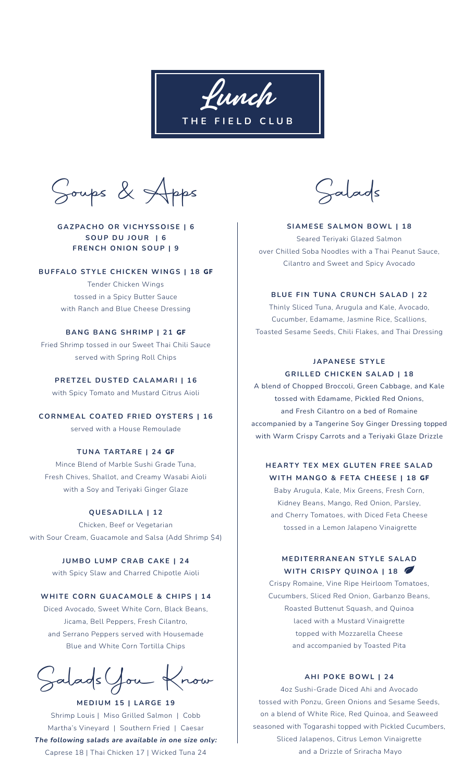Lunch **THE FIELD CLUB**

Soups & Apps Salads

# **GAZPACHO OR VICHYSSOISE | 6 SOUP DU JOUR | 6 FRENCH ONION SOUP | 9**

### **BUFFALO STYLE CHICKEN WINGS | 18** GF

Tender Chicken Wings tossed in a Spicy Butter Sauce with Ranch and Blue Cheese Dressing

# **BANG BANG SHRIMP | 21** GF

Fried Shrimp tossed in our Sweet Thai Chili Sauce served with Spring Roll Chips

**PRETZEL DUSTED CALAMARI | 16** with Spicy Tomato and Mustard Citrus Aioli

**CORNMEAL COATED FRIED OYSTERS | 16** served with a House Remoulade

## **TUNA TARTARE | 24** GF

Mince Blend of Marble Sushi Grade Tuna, Fresh Chives, Shallot, and Creamy Wasabi Aioli with a Soy and Teriyaki Ginger Glaze

## **QUESADILLA | 12**

Chicken, Beef or Vegetarian with Sour Cream, Guacamole and Salsa (Add Shrimp \$4)

> **JUMBO LUMP CRAB CAKE | 24** with Spicy Slaw and Charred Chipotle Aioli

## **WHITE CORN GUACAMOLE & CHIPS | 14**

Diced Avocado, Sweet White Corn, Black Beans, Jicama, Bell Peppers, Fresh Cilantro, and Serrano Peppers served with Housemade Blue and White Corn Tortilla Chips

SaladsYou Know

**MEDIUM 15 | LARGE 19** Shrimp Louis | Miso Grilled Salmon | Cobb Martha's Vineyard | Southern Fried | Caesar *The following salads are available in one size only:*  Caprese 18 | Thai Chicken 17 | Wicked Tuna 24

**SIAMESE SALMON BOWL | 18** Seared Teriyaki Glazed Salmon over Chilled Soba Noodles with a Thai Peanut Sauce, Cilantro and Sweet and Spicy Avocado

## **BLUE FIN TUNA CRUNCH SALAD | 22**

Thinly Sliced Tuna, Arugula and Kale, Avocado, Cucumber, Edamame, Jasmine Rice, Scallions, Toasted Sesame Seeds, Chili Flakes, and Thai Dressing

## **JAPANESE STYLE GRILLED CHICKEN SALAD | 18**

A blend of Chopped Broccoli, Green Cabbage, and Kale tossed with Edamame, Pickled Red Onions, and Fresh Cilantro on a bed of Romaine accompanied by a Tangerine Soy Ginger Dressing topped with Warm Crispy Carrots and a Teriyaki Glaze Drizzle

# **HEARTY TEX MEX GLUTEN FREE SALAD WITH MANGO & FETA CHEESE | 18** GF

Baby Arugula, Kale, Mix Greens, Fresh Corn, Kidney Beans, Mango, Red Onion, Parsley, and Cherry Tomatoes, with Diced Feta Cheese tossed in a Lemon Jalapeno Vinaigrette

# **MEDITERRANEAN STYLE SALAD WITH CRISPY QUINOA | 18**

Crispy Romaine, Vine Ripe Heirloom Tomatoes, Cucumbers, Sliced Red Onion, Garbanzo Beans, Roasted Buttenut Squash, and Quinoa laced with a Mustard Vinaigrette topped with Mozzarella Cheese and accompanied by Toasted Pita

## **AHI POKE BOWL | 24**

4oz Sushi-Grade Diced Ahi and Avocado tossed with Ponzu, Green Onions and Sesame Seeds, on a blend of White Rice, Red Quinoa, and Seaweed seasoned with Togarashi topped with Pickled Cucumbers, Sliced Jalapenos, Citrus Lemon Vinaigrette and a Drizzle of Sriracha Mayo